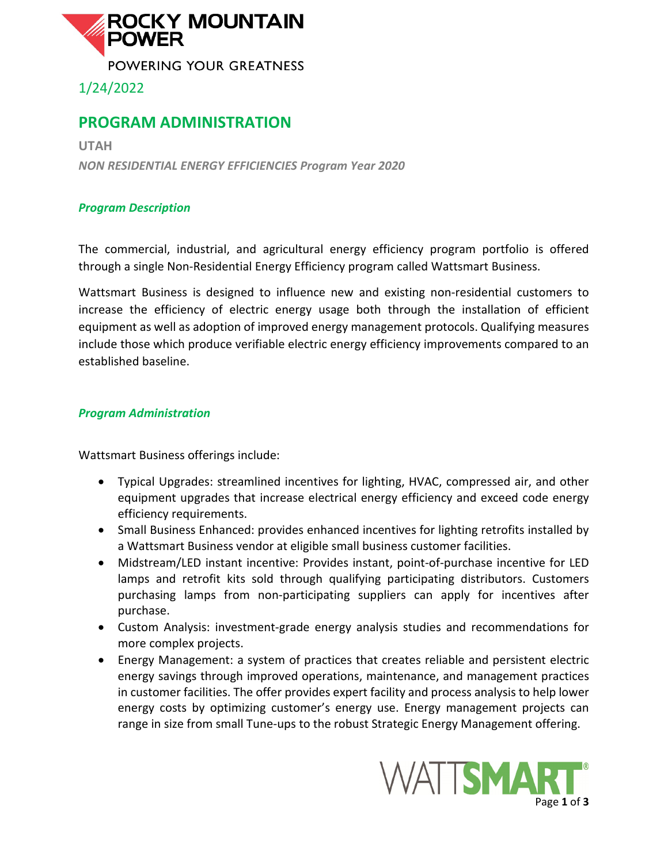

1/24/2022

## **PROGRAM ADMINISTRATION**

**UTAH** *NON RESIDENTIAL ENERGY EFFICIENCIES Program Year 2020*

### *Program Description*

The commercial, industrial, and agricultural energy efficiency program portfolio is offered through a single Non-Residential Energy Efficiency program called Wattsmart Business.

Wattsmart Business is designed to influence new and existing non-residential customers to increase the efficiency of electric energy usage both through the installation of efficient equipment as well as adoption of improved energy management protocols. Qualifying measures include those which produce verifiable electric energy efficiency improvements compared to an established baseline.

#### *Program Administration*

Wattsmart Business offerings include:

- Typical Upgrades: streamlined incentives for lighting, HVAC, compressed air, and other equipment upgrades that increase electrical energy efficiency and exceed code energy efficiency requirements.
- Small Business Enhanced: provides enhanced incentives for lighting retrofits installed by a Wattsmart Business vendor at eligible small business customer facilities.
- Midstream/LED instant incentive: Provides instant, point-of-purchase incentive for LED lamps and retrofit kits sold through qualifying participating distributors. Customers purchasing lamps from non-participating suppliers can apply for incentives after purchase.
- Custom Analysis: investment-grade energy analysis studies and recommendations for more complex projects.
- Energy Management: a system of practices that creates reliable and persistent electric energy savings through improved operations, maintenance, and management practices in customer facilities. The offer provides expert facility and process analysis to help lower energy costs by optimizing customer's energy use. Energy management projects can range in size from small Tune-ups to the robust Strategic Energy Management offering.

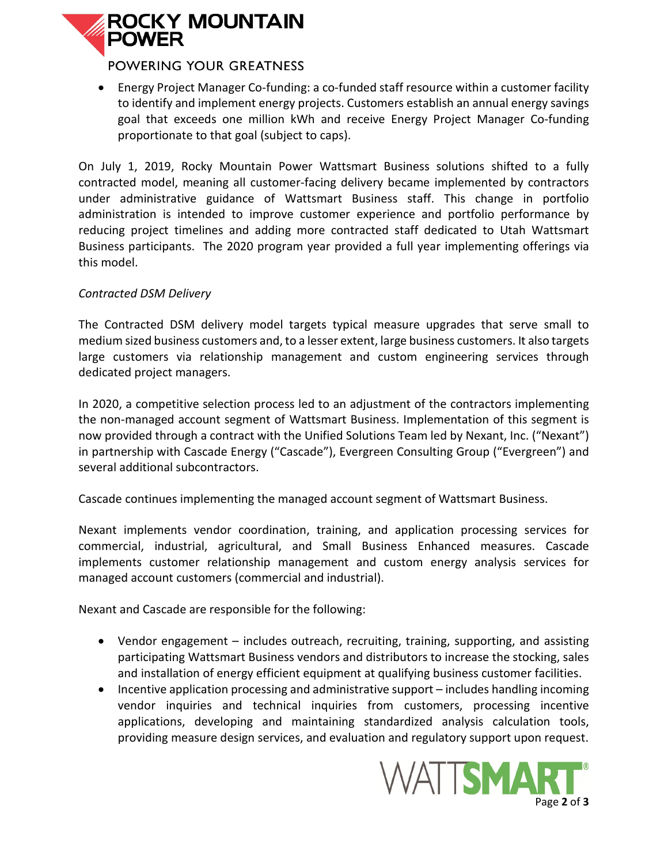# **ROCKY MOUNTAIN POWER**

### POWERING YOUR GREATNESS

• Energy Project Manager Co-funding: a co-funded staff resource within a customer facility to identify and implement energy projects. Customers establish an annual energy savings goal that exceeds one million kWh and receive Energy Project Manager Co-funding proportionate to that goal (subject to caps).

On July 1, 2019, Rocky Mountain Power Wattsmart Business solutions shifted to a fully contracted model, meaning all customer-facing delivery became implemented by contractors under administrative guidance of Wattsmart Business staff. This change in portfolio administration is intended to improve customer experience and portfolio performance by reducing project timelines and adding more contracted staff dedicated to Utah Wattsmart Business participants. The 2020 program year provided a full year implementing offerings via this model.

#### *Contracted DSM Delivery*

The Contracted DSM delivery model targets typical measure upgrades that serve small to medium sized business customers and, to a lesser extent, large business customers. It also targets large customers via relationship management and custom engineering services through dedicated project managers.

In 2020, a competitive selection process led to an adjustment of the contractors implementing the non-managed account segment of Wattsmart Business. Implementation of this segment is now provided through a contract with the Unified Solutions Team led by Nexant, Inc. ("Nexant") in partnership with Cascade Energy ("Cascade"), Evergreen Consulting Group ("Evergreen") and several additional subcontractors.

Cascade continues implementing the managed account segment of Wattsmart Business.

Nexant implements vendor coordination, training, and application processing services for commercial, industrial, agricultural, and Small Business Enhanced measures. Cascade implements customer relationship management and custom energy analysis services for managed account customers (commercial and industrial).

Nexant and Cascade are responsible for the following:

- Vendor engagement includes outreach, recruiting, training, supporting, and assisting participating Wattsmart Business vendors and distributors to increase the stocking, sales and installation of energy efficient equipment at qualifying business customer facilities.
- Incentive application processing and administrative support includes handling incoming vendor inquiries and technical inquiries from customers, processing incentive applications, developing and maintaining standardized analysis calculation tools, providing measure design services, and evaluation and regulatory support upon request.